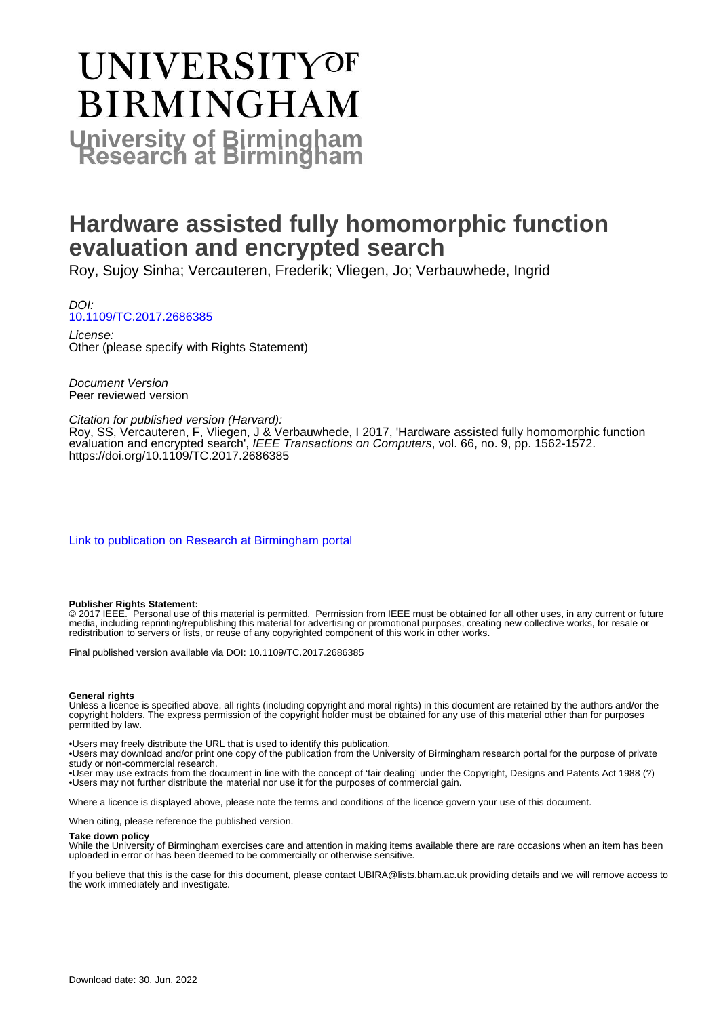# **UNIVERSITYOF BIRMINGHAM University of Birmingham**

### **Hardware assisted fully homomorphic function evaluation and encrypted search**

Roy, Sujoy Sinha; Vercauteren, Frederik; Vliegen, Jo; Verbauwhede, Ingrid

DOI: [10.1109/TC.2017.2686385](https://doi.org/10.1109/TC.2017.2686385)

License: Other (please specify with Rights Statement)

Document Version Peer reviewed version

#### Citation for published version (Harvard):

Roy, SS, Vercauteren, F, Vliegen, J & Verbauwhede, I 2017, 'Hardware assisted fully homomorphic function evaluation and encrypted search', IEEE Transactions on Computers, vol. 66, no. 9, pp. 1562-1572. <https://doi.org/10.1109/TC.2017.2686385>

[Link to publication on Research at Birmingham portal](https://birmingham.elsevierpure.com/en/publications/cc138d49-7220-4b91-9f12-705555e5f08a)

#### **Publisher Rights Statement:**

© 2017 IEEE. Personal use of this material is permitted. Permission from IEEE must be obtained for all other uses, in any current or future media, including reprinting/republishing this material for advertising or promotional purposes, creating new collective works, for resale or redistribution to servers or lists, or reuse of any copyrighted component of this work in other works.

Final published version available via DOI: 10.1109/TC.2017.2686385

#### **General rights**

Unless a licence is specified above, all rights (including copyright and moral rights) in this document are retained by the authors and/or the copyright holders. The express permission of the copyright holder must be obtained for any use of this material other than for purposes permitted by law.

• Users may freely distribute the URL that is used to identify this publication.

• Users may download and/or print one copy of the publication from the University of Birmingham research portal for the purpose of private study or non-commercial research.

• User may use extracts from the document in line with the concept of 'fair dealing' under the Copyright, Designs and Patents Act 1988 (?) • Users may not further distribute the material nor use it for the purposes of commercial gain.

Where a licence is displayed above, please note the terms and conditions of the licence govern your use of this document.

When citing, please reference the published version.

#### **Take down policy**

While the University of Birmingham exercises care and attention in making items available there are rare occasions when an item has been uploaded in error or has been deemed to be commercially or otherwise sensitive.

If you believe that this is the case for this document, please contact UBIRA@lists.bham.ac.uk providing details and we will remove access to the work immediately and investigate.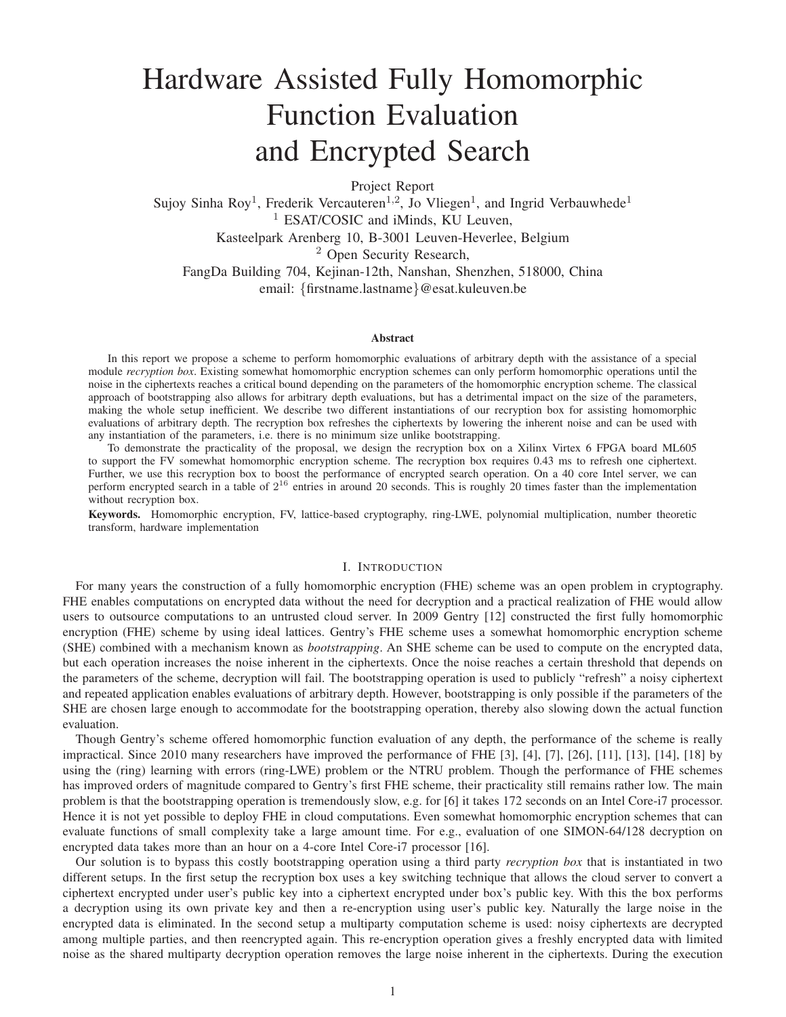## Hardware Assisted Fully Homomorphic Function Evaluation and Encrypted Search

Project Report

Sujoy Sinha Roy<sup>1</sup>, Frederik Vercauteren<sup>1,2</sup>, Jo Vliegen<sup>1</sup>, and Ingrid Verbauwhede<sup>1</sup> <sup>1</sup> ESAT/COSIC and iMinds, KU Leuven, Kasteelpark Arenberg 10, B-3001 Leuven-Heverlee, Belgium <sup>2</sup> Open Security Research, FangDa Building 704, Kejinan-12th, Nanshan, Shenzhen, 518000, China email: {firstname.lastname}@esat.kuleuven.be

#### **Abstract**

In this report we propose a scheme to perform homomorphic evaluations of arbitrary depth with the assistance of a special module *recryption box*. Existing somewhat homomorphic encryption schemes can only perform homomorphic operations until the noise in the ciphertexts reaches a critical bound depending on the parameters of the homomorphic encryption scheme. The classical approach of bootstrapping also allows for arbitrary depth evaluations, but has a detrimental impact on the size of the parameters, making the whole setup inefficient. We describe two different instantiations of our recryption box for assisting homomorphic evaluations of arbitrary depth. The recryption box refreshes the ciphertexts by lowering the inherent noise and can be used with any instantiation of the parameters, i.e. there is no minimum size unlike bootstrapping.

To demonstrate the practicality of the proposal, we design the recryption box on a Xilinx Virtex 6 FPGA board ML605 to support the FV somewhat homomorphic encryption scheme. The recryption box requires 0.43 ms to refresh one ciphertext. Further, we use this recryption box to boost the performance of encrypted search operation. On a 40 core Intel server, we can perform encrypted search in a table of  $2^{16}$  entries in around 20 seconds. This is roughly 20 times faster than the implementation without recryption box.

Keywords. Homomorphic encryption, FV, lattice-based cryptography, ring-LWE, polynomial multiplication, number theoretic transform, hardware implementation

#### I. INTRODUCTION

For many years the construction of a fully homomorphic encryption (FHE) scheme was an open problem in cryptography. FHE enables computations on encrypted data without the need for decryption and a practical realization of FHE would allow users to outsource computations to an untrusted cloud server. In 2009 Gentry [12] constructed the first fully homomorphic encryption (FHE) scheme by using ideal lattices. Gentry's FHE scheme uses a somewhat homomorphic encryption scheme (SHE) combined with a mechanism known as *bootstrapping*. An SHE scheme can be used to compute on the encrypted data, but each operation increases the noise inherent in the ciphertexts. Once the noise reaches a certain threshold that depends on the parameters of the scheme, decryption will fail. The bootstrapping operation is used to publicly "refresh" a noisy ciphertext and repeated application enables evaluations of arbitrary depth. However, bootstrapping is only possible if the parameters of the SHE are chosen large enough to accommodate for the bootstrapping operation, thereby also slowing down the actual function evaluation.

Though Gentry's scheme offered homomorphic function evaluation of any depth, the performance of the scheme is really impractical. Since 2010 many researchers have improved the performance of FHE [3], [4], [7], [26], [11], [13], [14], [18] by using the (ring) learning with errors (ring-LWE) problem or the NTRU problem. Though the performance of FHE schemes has improved orders of magnitude compared to Gentry's first FHE scheme, their practicality still remains rather low. The main problem is that the bootstrapping operation is tremendously slow, e.g. for [6] it takes 172 seconds on an Intel Core-i7 processor. Hence it is not yet possible to deploy FHE in cloud computations. Even somewhat homomorphic encryption schemes that can evaluate functions of small complexity take a large amount time. For e.g., evaluation of one SIMON-64/128 decryption on encrypted data takes more than an hour on a 4-core Intel Core-i7 processor [16].

Our solution is to bypass this costly bootstrapping operation using a third party *recryption box* that is instantiated in two different setups. In the first setup the recryption box uses a key switching technique that allows the cloud server to convert a ciphertext encrypted under user's public key into a ciphertext encrypted under box's public key. With this the box performs a decryption using its own private key and then a re-encryption using user's public key. Naturally the large noise in the encrypted data is eliminated. In the second setup a multiparty computation scheme is used: noisy ciphertexts are decrypted among multiple parties, and then reencrypted again. This re-encryption operation gives a freshly encrypted data with limited noise as the shared multiparty decryption operation removes the large noise inherent in the ciphertexts. During the execution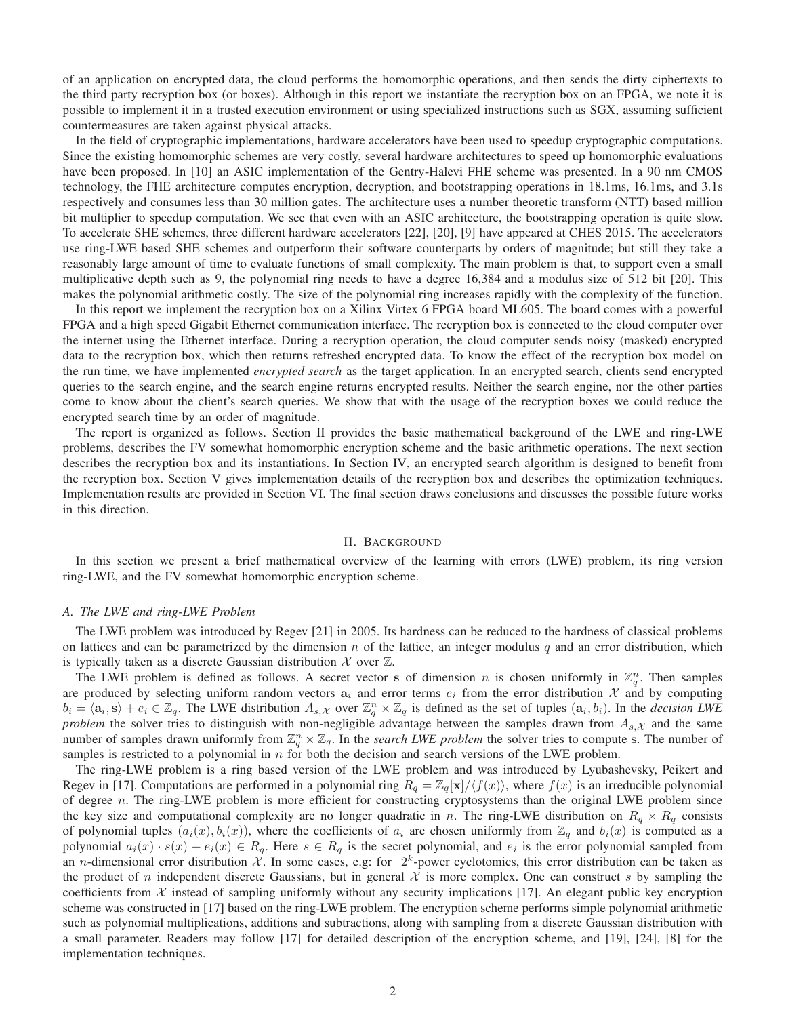of an application on encrypted data, the cloud performs the homomorphic operations, and then sends the dirty ciphertexts to the third party recryption box (or boxes). Although in this report we instantiate the recryption box on an FPGA, we note it is possible to implement it in a trusted execution environment or using specialized instructions such as SGX, assuming sufficient countermeasures are taken against physical attacks.

In the field of cryptographic implementations, hardware accelerators have been used to speedup cryptographic computations. Since the existing homomorphic schemes are very costly, several hardware architectures to speed up homomorphic evaluations have been proposed. In [10] an ASIC implementation of the Gentry-Halevi FHE scheme was presented. In a 90 nm CMOS technology, the FHE architecture computes encryption, decryption, and bootstrapping operations in 18.1ms, 16.1ms, and 3.1s respectively and consumes less than 30 million gates. The architecture uses a number theoretic transform (NTT) based million bit multiplier to speedup computation. We see that even with an ASIC architecture, the bootstrapping operation is quite slow. To accelerate SHE schemes, three different hardware accelerators [22], [20], [9] have appeared at CHES 2015. The accelerators use ring-LWE based SHE schemes and outperform their software counterparts by orders of magnitude; but still they take a reasonably large amount of time to evaluate functions of small complexity. The main problem is that, to support even a small multiplicative depth such as 9, the polynomial ring needs to have a degree 16,384 and a modulus size of 512 bit [20]. This makes the polynomial arithmetic costly. The size of the polynomial ring increases rapidly with the complexity of the function.

In this report we implement the recryption box on a Xilinx Virtex 6 FPGA board ML605. The board comes with a powerful FPGA and a high speed Gigabit Ethernet communication interface. The recryption box is connected to the cloud computer over the internet using the Ethernet interface. During a recryption operation, the cloud computer sends noisy (masked) encrypted data to the recryption box, which then returns refreshed encrypted data. To know the effect of the recryption box model on the run time, we have implemented *encrypted search* as the target application. In an encrypted search, clients send encrypted queries to the search engine, and the search engine returns encrypted results. Neither the search engine, nor the other parties come to know about the client's search queries. We show that with the usage of the recryption boxes we could reduce the encrypted search time by an order of magnitude.

The report is organized as follows. Section II provides the basic mathematical background of the LWE and ring-LWE problems, describes the FV somewhat homomorphic encryption scheme and the basic arithmetic operations. The next section describes the recryption box and its instantiations. In Section IV, an encrypted search algorithm is designed to benefit from the recryption box. Section V gives implementation details of the recryption box and describes the optimization techniques. Implementation results are provided in Section VI. The final section draws conclusions and discusses the possible future works in this direction.

#### II. BACKGROUND

In this section we present a brief mathematical overview of the learning with errors (LWE) problem, its ring version ring-LWE, and the FV somewhat homomorphic encryption scheme.

#### *A. The LWE and ring-LWE Problem*

The LWE problem was introduced by Regev [21] in 2005. Its hardness can be reduced to the hardness of classical problems on lattices and can be parametrized by the dimension n of the lattice, an integer modulus q and an error distribution, which is typically taken as a discrete Gaussian distribution  $\mathcal X$  over  $\mathbb Z$ .

The LWE problem is defined as follows. A secret vector s of dimension n is chosen uniformly in  $\mathbb{Z}_q^n$ . Then samples are produced by selecting uniform random vectors  $a_i$  and error terms  $e_i$  from the error distribution X and by computing  $b_i = \langle a_i, s \rangle + e_i \in \mathbb{Z}_q$ . The LWE distribution  $A_{s,x}$  over  $\mathbb{Z}_q^n \times \mathbb{Z}_q$  is defined as the set of tuples  $(a_i, b_i)$ . In the *decision LWE problem* the solver tries to distinguish with non-negligible advantage between the samples drawn from  $A_{s,x}$  and the same number of samples drawn uniformly from  $\mathbb{Z}_q^n \times \mathbb{Z}_q$ . In the *search LWE problem* the solver tries to compute s. The number of samples is restricted to a polynomial in  $n$  for both the decision and search versions of the LWE problem.

The ring-LWE problem is a ring based version of the LWE problem and was introduced by Lyubashevsky, Peikert and Regev in [17]. Computations are performed in a polynomial ring  $R_q = \mathbb{Z}_q[\mathbf{x}]/\langle f(x) \rangle$ , where  $f(x)$  is an irreducible polynomial of degree  $n$ . The ring-LWE problem is more efficient for constructing cryptosystems than the original LWE problem since the key size and computational complexity are no longer quadratic in n. The ring-LWE distribution on  $R_q \times R_q$  consists of polynomial tuples  $(a_i(x), b_i(x))$ , where the coefficients of  $a_i$  are chosen uniformly from  $\mathbb{Z}_q$  and  $b_i(x)$  is computed as a polynomial  $a_i(x) \cdot s(x) + e_i(x) \in R_q$ . Here  $s \in R_q$  is the secret polynomial, and  $e_i$  is the error polynomial sampled from an *n*-dimensional error distribution X. In some cases, e.g: for  $2^k$ -power cyclotomics, this error distribution can be taken as the product of n independent discrete Gaussians, but in general  $\mathcal X$  is more complex. One can construct s by sampling the coefficients from  $X$  instead of sampling uniformly without any security implications [17]. An elegant public key encryption scheme was constructed in [17] based on the ring-LWE problem. The encryption scheme performs simple polynomial arithmetic such as polynomial multiplications, additions and subtractions, along with sampling from a discrete Gaussian distribution with a small parameter. Readers may follow [17] for detailed description of the encryption scheme, and [19], [24], [8] for the implementation techniques.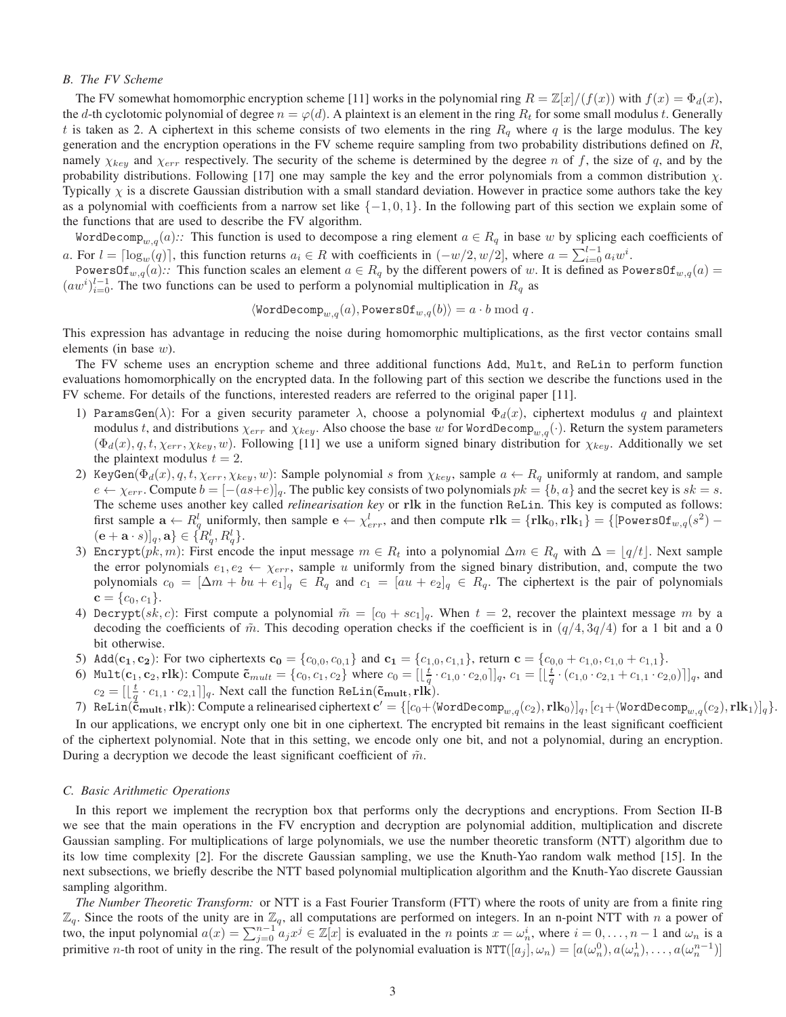#### *B. The FV Scheme*

The FV somewhat homomorphic encryption scheme [11] works in the polynomial ring  $R = \mathbb{Z}[x]/(f(x))$  with  $f(x) = \Phi_d(x)$ , the d-th cyclotomic polynomial of degree  $n = \varphi(d)$ . A plaintext is an element in the ring  $R_t$  for some small modulus t. Generally t is taken as 2. A ciphertext in this scheme consists of two elements in the ring  $R_q$  where q is the large modulus. The key generation and the encryption operations in the FV scheme require sampling from two probability distributions defined on  $R$ , namely  $\chi_{key}$  and  $\chi_{err}$  respectively. The security of the scheme is determined by the degree n of f, the size of q, and by the probability distributions. Following [17] one may sample the key and the error polynomials from a common distribution  $\chi$ . Typically  $\chi$  is a discrete Gaussian distribution with a small standard deviation. However in practice some authors take the key as a polynomial with coefficients from a narrow set like  $\{-1, 0, 1\}$ . In the following part of this section we explain some of the functions that are used to describe the FV algorithm.

WordDecomp<sub>w,q</sub>(a):: This function is used to decompose a ring element  $a \in R_q$  in base w by splicing each coefficients of a. For  $l = \lceil \log_w(q) \rceil$ , this function returns  $a_i \in R$  with coefficients in  $(-w/2, w/2]$ , where  $a = \sum_{i=0}^{l-1} a_i w^i$ .

PowersOf<sub>w,q</sub>(a):: This function scales an element  $a \in R_q$  by the different powers of w. It is defined as PowersOf<sub>w,q</sub>(a) =  $(aw^i)_{i=0}^{l-1}$ . The two functions can be used to perform a polynomial multiplication in  $R_q$  as

$$
\langle \texttt{WordDecomp}_{w,q}(a), \texttt{PowersOf}_{w,q}(b) \rangle = a \cdot b \bmod q \, .
$$

This expression has advantage in reducing the noise during homomorphic multiplications, as the first vector contains small elements (in base  $w$ ).

The FV scheme uses an encryption scheme and three additional functions Add, Mult, and ReLin to perform function evaluations homomorphically on the encrypted data. In the following part of this section we describe the functions used in the FV scheme. For details of the functions, interested readers are referred to the original paper [11].

- 1) ParamsGen( $\lambda$ ): For a given security parameter  $\lambda$ , choose a polynomial  $\Phi_d(x)$ , ciphertext modulus q and plaintext modulus t, and distributions  $\chi_{err}$  and  $\chi_{key}$ . Also choose the base w for WordDecomp<sub>w,q</sub>(·). Return the system parameters  $(\Phi_d(x), q, t, \chi_{err}, \chi_{key}, w)$ . Following [11] we use a uniform signed binary distribution for  $\chi_{key}$ . Additionally we set the plaintext modulus  $t = 2$ .
- 2) KeyGen( $\Phi_d(x)$ , q, t,  $\chi_{err}$ ,  $\chi_{key}$ , w): Sample polynomial s from  $\chi_{key}$ , sample  $a \leftarrow R_q$  uniformly at random, and sample  $e \leftarrow \chi_{err}$ . Compute  $b = \left|-(as+e)\right|_q$ . The public key consists of two polynomials  $pk = \{b, a\}$  and the secret key is  $sk = s$ . The scheme uses another key called *relinearisation key* or rlk in the function ReLin. This key is computed as follows: first sample  $\mathbf{a} \leftarrow R_q^l$  uniformly, then sample  $\mathbf{e} \leftarrow \chi_{err}^l$ , and then compute  $\mathbf{rlk} = {\mathbf{rlk}}_0, \mathbf{rlk}_1$  =  ${\mathbf{rlk}}_0 = {\mathbf{povers}} \mathbf{0}\mathbf{r}_{w,q}(s^2)$  $(\mathbf{e}+\mathbf{a}\cdot s)]_q, \mathbf{a} \} \in \{R^l_q, R^l_q\}.$
- 3) Encrypt(pk, m): First encode the input message  $m \in R_t$  into a polynomial  $\Delta m \in R_q$  with  $\Delta = \lfloor q/t \rfloor$ . Next sample the error polynomials  $e_1, e_2 \leftarrow \chi_{err}$ , sample u uniformly from the signed binary distribution, and, compute the two polynomials  $c_0 = [\Delta m + bu + e_1]_q \in R_q$  and  $c_1 = [au + e_2]_q \in R_q$ . The ciphertext is the pair of polynomials  $c = \{c_0, c_1\}.$
- 4) Decrypt(sk, c): First compute a polynomial  $\tilde{m} = [c_0 + sc_1]_q$ . When  $t = 2$ , recover the plaintext message m by a decoding the coefficients of  $\tilde{m}$ . This decoding operation checks if the coefficient is in  $(q/4, 3q/4)$  for a 1 bit and a 0 bit otherwise.
- 5) Add( $c_1, c_2$ ): For two ciphertexts  $c_0 = \{c_{0,0}, c_{0,1}\}$  and  $c_1 = \{c_{1,0}, c_{1,1}\}$ , return  $c = \{c_{0,0} + c_{1,0}, c_{1,0} + c_{1,1}\}$ .
- 6) Mult $(c_1, c_2, r]$ k): Compute  $\tilde{c}_{mult} = \{c_0, c_1, c_2\}$  where  $c_0 = [\lfloor \frac{t}{q} \cdot c_{1,0} \cdot c_{2,0} \rfloor]_q$ ,  $c_1 = [\lfloor \frac{t}{q} \cdot (c_{1,0} \cdot c_{2,1} + c_{1,1} \cdot c_{2,0}) \rfloor]_q$ , and  $c_2 = [\lfloor \frac{t}{q} \cdot c_{1,1} \cdot c_{2,1} \rfloor]_q$ . Next call the function ReLin( $\tilde{c}_{\text{mult}}, \text{rlk}$ ).
- 7) ReLin $(\mathbf{\ddot{c}}_{\text{mult}},\text{rlk})$ : Compute a relinearised ciphertext  $\mathbf{c}' = \{[c_0 + \langle\text{WordDecomp}_{w,q}(c_2),\text{rlk}_0\rangle]_q,[c_1 + \langle\text{WordDecomp}_{w,q}(c_2),\text{rlk}_1\rangle]_q\}.$

In our applications, we encrypt only one bit in one ciphertext. The encrypted bit remains in the least significant coefficient of the ciphertext polynomial. Note that in this setting, we encode only one bit, and not a polynomial, during an encryption. During a decryption we decode the least significant coefficient of  $\tilde{m}$ .

#### *C. Basic Arithmetic Operations*

In this report we implement the recryption box that performs only the decryptions and encryptions. From Section II-B we see that the main operations in the FV encryption and decryption are polynomial addition, multiplication and discrete Gaussian sampling. For multiplications of large polynomials, we use the number theoretic transform (NTT) algorithm due to its low time complexity [2]. For the discrete Gaussian sampling, we use the Knuth-Yao random walk method [15]. In the next subsections, we briefly describe the NTT based polynomial multiplication algorithm and the Knuth-Yao discrete Gaussian sampling algorithm.

*The Number Theoretic Transform:* or NTT is a Fast Fourier Transform (FTT) where the roots of unity are from a finite ring  $\mathbb{Z}_q$ . Since the roots of the unity are in  $\mathbb{Z}_q$ , all computations are performed on integers. In an n-point NTT with n a power of two, the input polynomial  $a(x) = \sum_{j=0}^{n-1} a_j x^j \in \mathbb{Z}[x]$  is evaluated in the *n* points  $x = \omega_n^i$ , where  $i = 0, \ldots, n-1$  and  $\omega_n$  is a primitive *n*-th root of unity in the ring. The result of the polynomial evaluation is  $NTT([a_j], \omega_n) = [a(\omega_n^0), a(\omega_n^1), \dots, a(\omega_n^{n-1})]$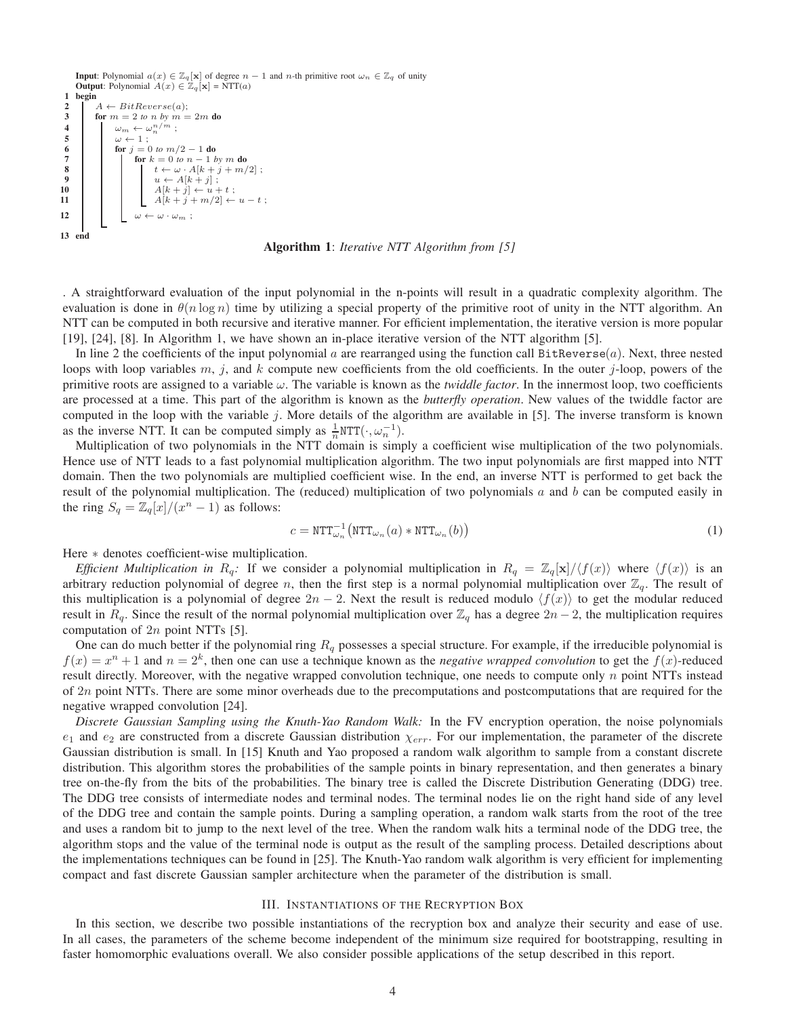**Input**: Polynomial  $a(x) \in \mathbb{Z}_q[x]$  of degree  $n-1$  and n-th primitive root  $\omega_n \in \mathbb{Z}_q$  of unity **Output**: Polynomial  $A(x) \in \mathbb{Z}_q[\mathbf{x}] = \text{NTT}(a)$ 1 begin 2  $A \leftarrow BitReverse(a);$ <br>3 for  $m = 2$  to n by  $m =$ for  $m = 2$  *to* n *by*  $m = 2m$  do 4  $\omega_m \leftarrow \omega_n^{n/m}$ ; 5<br>
6<br>
7<br>  $\begin{array}{|c|c|c|}\n\hline\n\text{for } j = 0 \\
\hline\n\text{for } j = 0\n\end{array}$ for  $j = 0$  *to*  $m/2 - 1$  do 7<br>**8 b c**  $k = 0$  *to*  $n - 1$  *by* m **do**<br>**f**  $t \leftarrow \omega \cdot A[k + j + m]$ 8  $t \leftarrow \omega \cdot A[k + j + m/2];$ <br>9  $u \leftarrow A[k + j];$ 9  $u \leftarrow A[k+j];$ 10 | | |  $A[k + j] \leftarrow u + t$ ; 11 |  $A[k+j+m/2] \leftarrow u - t$ ; 12 ω ← ω · ω<sup>m</sup> ; 13 end

Algorithm 1: *Iterative NTT Algorithm from [5]*

. A straightforward evaluation of the input polynomial in the n-points will result in a quadratic complexity algorithm. The evaluation is done in  $\theta(n \log n)$  time by utilizing a special property of the primitive root of unity in the NTT algorithm. An NTT can be computed in both recursive and iterative manner. For efficient implementation, the iterative version is more popular [19], [24], [8]. In Algorithm 1, we have shown an in-place iterative version of the NTT algorithm [5].

In line 2 the coefficients of the input polynomial  $a$  are rearranged using the function call BitReverse $(a)$ . Next, three nested loops with loop variables m, j, and k compute new coefficients from the old coefficients. In the outer j-loop, powers of the primitive roots are assigned to a variable  $\omega$ . The variable is known as the *twiddle factor*. In the innermost loop, two coefficients are processed at a time. This part of the algorithm is known as the *butterfly operation*. New values of the twiddle factor are computed in the loop with the variable  $j$ . More details of the algorithm are available in [5]. The inverse transform is known as the inverse NTT. It can be computed simply as  $\frac{1}{n}$ NTT $(\cdot, \omega_n^{-1})$ .

Multiplication of two polynomials in the NTT domain is simply a coefficient wise multiplication of the two polynomials. Hence use of NTT leads to a fast polynomial multiplication algorithm. The two input polynomials are first mapped into NTT domain. Then the two polynomials are multiplied coefficient wise. In the end, an inverse NTT is performed to get back the result of the polynomial multiplication. The (reduced) multiplication of two polynomials  $a$  and  $b$  can be computed easily in the ring  $S_q = \mathbb{Z}_q[x]/(x^n - 1)$  as follows:

$$
c = \text{NTT}_{\omega_n}^{-1} \big( \text{NTT}_{\omega_n}(a) \ast \text{NTT}_{\omega_n}(b) \big) \tag{1}
$$

Here ∗ denotes coefficient-wise multiplication.

*Efficient Multiplication in*  $R_q$ : If we consider a polynomial multiplication in  $R_q = \mathbb{Z}_q[\mathbf{x}]/\langle f(x) \rangle$  where  $\langle f(x) \rangle$  is an arbitrary reduction polynomial of degree n, then the first step is a normal polynomial multiplication over  $\mathbb{Z}_q$ . The result of this multiplication is a polynomial of degree  $2n - 2$ . Next the result is reduced modulo  $\langle f(x) \rangle$  to get the modular reduced result in  $R_q$ . Since the result of the normal polynomial multiplication over  $\mathbb{Z}_q$  has a degree  $2n - 2$ , the multiplication requires computation of  $2n$  point NTTs [5].

One can do much better if the polynomial ring  $R_q$  possesses a special structure. For example, if the irreducible polynomial is  $f(x) = x<sup>n</sup> + 1$  and  $n = 2<sup>k</sup>$ , then one can use a technique known as the *negative wrapped convolution* to get the  $f(x)$ -reduced result directly. Moreover, with the negative wrapped convolution technique, one needs to compute only  $n$  point NTTs instead of 2n point NTTs. There are some minor overheads due to the precomputations and postcomputations that are required for the negative wrapped convolution [24].

*Discrete Gaussian Sampling using the Knuth-Yao Random Walk:* In the FV encryption operation, the noise polynomials  $e_1$  and  $e_2$  are constructed from a discrete Gaussian distribution  $\chi_{err}$ . For our implementation, the parameter of the discrete Gaussian distribution is small. In [15] Knuth and Yao proposed a random walk algorithm to sample from a constant discrete distribution. This algorithm stores the probabilities of the sample points in binary representation, and then generates a binary tree on-the-fly from the bits of the probabilities. The binary tree is called the Discrete Distribution Generating (DDG) tree. The DDG tree consists of intermediate nodes and terminal nodes. The terminal nodes lie on the right hand side of any level of the DDG tree and contain the sample points. During a sampling operation, a random walk starts from the root of the tree and uses a random bit to jump to the next level of the tree. When the random walk hits a terminal node of the DDG tree, the algorithm stops and the value of the terminal node is output as the result of the sampling process. Detailed descriptions about the implementations techniques can be found in [25]. The Knuth-Yao random walk algorithm is very efficient for implementing compact and fast discrete Gaussian sampler architecture when the parameter of the distribution is small.

#### III. INSTANTIATIONS OF THE RECRYPTION BOX

In this section, we describe two possible instantiations of the recryption box and analyze their security and ease of use. In all cases, the parameters of the scheme become independent of the minimum size required for bootstrapping, resulting in faster homomorphic evaluations overall. We also consider possible applications of the setup described in this report.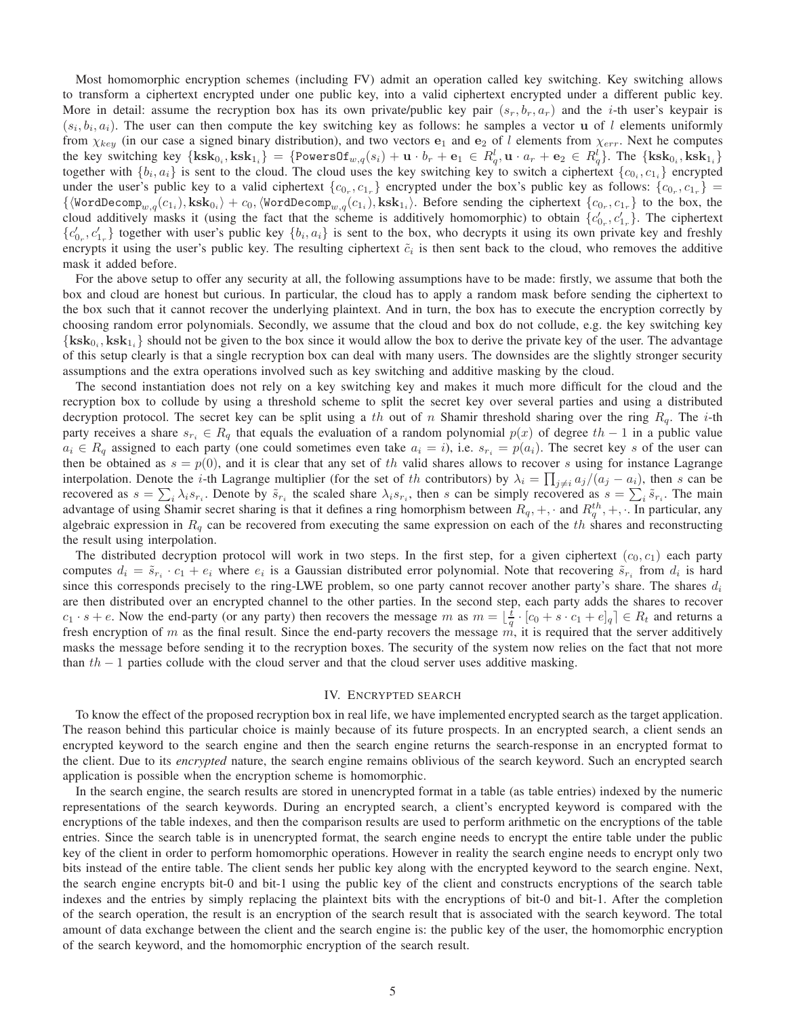Most homomorphic encryption schemes (including FV) admit an operation called key switching. Key switching allows to transform a ciphertext encrypted under one public key, into a valid ciphertext encrypted under a different public key. More in detail: assume the recryption box has its own private/public key pair  $(s_r, b_r, a_r)$  and the *i*-th user's keypair is  $(s_i, b_i, a_i)$ . The user can then compute the key switching key as follows: he samples a vector **u** of l elements uniformly from  $\chi_{key}$  (in our case a signed binary distribution), and two vectors  $e_1$  and  $e_2$  of l elements from  $\chi_{err}$ . Next he computes the key switching key  $\{ksk_{0_i}, sksk_{1_i}\} = \{PowersOf_{w,q}(s_i) + u \cdot b_r + e_1 \in R_q^l, u \cdot a_r + e_2 \in R_q^l\}$ . The  $\{ksk_{0_i}, sksk_{1_i}\}$ together with  $\{b_i, a_i\}$  is sent to the cloud. The cloud uses the key switching key to switch a ciphertext  $\{c_{0i}, c_{1i}\}$  encrypted under the user's public key to a valid ciphertext  $\{c_{0_r}, c_{1_r}\}$  encrypted under the box's public key as follows:  $\{c_{0_r}, c_{1_r}\}$  =  $\{\langle \text{WordDecomp}_{w,q}(c_{1_i}), \text{ksk}_{0_i} \rangle + c_0, \langle \text{WordDecomp}_{w,q}(c_{1_i}), \text{ksk}_{1_i} \rangle\}.$  Before sending the ciphertext  $\{c_{0_r}, c_{1_r}\}$  to the box, the cloud additively masks it (using the fact that the scheme is additively homomorphic) to obtain  $\{c'_{0_r}, c'_{1_r}\}$ . The ciphertext  ${c'_{0_r}, c'_{1_r}}$  together with user's public key  ${b_i, a_i}$  is sent to the box, who decrypts it using its own private key and freshly encrypts it using the user's public key. The resulting ciphertext  $\tilde{c}_i$  is then sent back to the cloud, who removes the additive mask it added before.

For the above setup to offer any security at all, the following assumptions have to be made: firstly, we assume that both the box and cloud are honest but curious. In particular, the cloud has to apply a random mask before sending the ciphertext to the box such that it cannot recover the underlying plaintext. And in turn, the box has to execute the encryption correctly by choosing random error polynomials. Secondly, we assume that the cloud and box do not collude, e.g. the key switching key  $\{k s k_{0i}, k s k_{1i}\}$  should not be given to the box since it would allow the box to derive the private key of the user. The advantage of this setup clearly is that a single recryption box can deal with many users. The downsides are the slightly stronger security assumptions and the extra operations involved such as key switching and additive masking by the cloud.

The second instantiation does not rely on a key switching key and makes it much more difficult for the cloud and the recryption box to collude by using a threshold scheme to split the secret key over several parties and using a distributed decryption protocol. The secret key can be split using a th out of n Shamir threshold sharing over the ring  $R_q$ . The i-th party receives a share  $s_{r_i} \in R_q$  that equals the evaluation of a random polynomial  $p(x)$  of degree th − 1 in a public value  $a_i \in R_q$  assigned to each party (one could sometimes even take  $a_i = i$ ), i.e.  $s_{r_i} = p(a_i)$ . The secret key s of the user can then be obtained as  $s = p(0)$ , and it is clear that any set of th valid shares allows to recover s using for instance Lagrange interpolation. Denote the *i*-th Lagrange multiplier (for the set of th contributors) by  $\lambda_i = \prod_{j \neq i} a_j/(a_j - a_i)$ , then s can be recovered as  $s = \sum_i \lambda_i s_{r_i}$ . Denote by  $\tilde{s}_{r_i}$  the scaled share  $\lambda_i s_{r_i}$ , then s can be simply recovered as  $s = \sum_i \tilde{s}_{r_i}$ . The main advantage of using Shamir secret sharing is that it defines a ring homorphism between  $R_q, +, \cdot$  and  $R_q^{th}, +, \cdot$ . In particular, any algebraic expression in  $R_q$  can be recovered from executing the same expression on each of the th shares and reconstructing the result using interpolation.

The distributed decryption protocol will work in two steps. In the first step, for a given ciphertext  $(c_0, c_1)$  each party computes  $d_i = \tilde{s}_{r_i} \cdot c_1 + e_i$  where  $e_i$  is a Gaussian distributed error polynomial. Note that recovering  $\tilde{s}_{r_i}$  from  $d_i$  is hard since this corresponds precisely to the ring-LWE problem, so one party cannot recover another party's share. The shares  $d_i$ are then distributed over an encrypted channel to the other parties. In the second step, each party adds the shares to recover  $c_1 \cdot s + e$ . Now the end-party (or any party) then recovers the message m as  $m = \lfloor \frac{t}{q} \cdot [c_0 + s \cdot c_1 + e]_q \rfloor \in R_t$  and returns a fresh encryption of m as the final result. Since the end-party recovers the message  $\vec{m}$ , it is required that the server additively masks the message before sending it to the recryption boxes. The security of the system now relies on the fact that not more than  $th - 1$  parties collude with the cloud server and that the cloud server uses additive masking.

#### IV. ENCRYPTED SEARCH

To know the effect of the proposed recryption box in real life, we have implemented encrypted search as the target application. The reason behind this particular choice is mainly because of its future prospects. In an encrypted search, a client sends an encrypted keyword to the search engine and then the search engine returns the search-response in an encrypted format to the client. Due to its *encrypted* nature, the search engine remains oblivious of the search keyword. Such an encrypted search application is possible when the encryption scheme is homomorphic.

In the search engine, the search results are stored in unencrypted format in a table (as table entries) indexed by the numeric representations of the search keywords. During an encrypted search, a client's encrypted keyword is compared with the encryptions of the table indexes, and then the comparison results are used to perform arithmetic on the encryptions of the table entries. Since the search table is in unencrypted format, the search engine needs to encrypt the entire table under the public key of the client in order to perform homomorphic operations. However in reality the search engine needs to encrypt only two bits instead of the entire table. The client sends her public key along with the encrypted keyword to the search engine. Next, the search engine encrypts bit-0 and bit-1 using the public key of the client and constructs encryptions of the search table indexes and the entries by simply replacing the plaintext bits with the encryptions of bit-0 and bit-1. After the completion of the search operation, the result is an encryption of the search result that is associated with the search keyword. The total amount of data exchange between the client and the search engine is: the public key of the user, the homomorphic encryption of the search keyword, and the homomorphic encryption of the search result.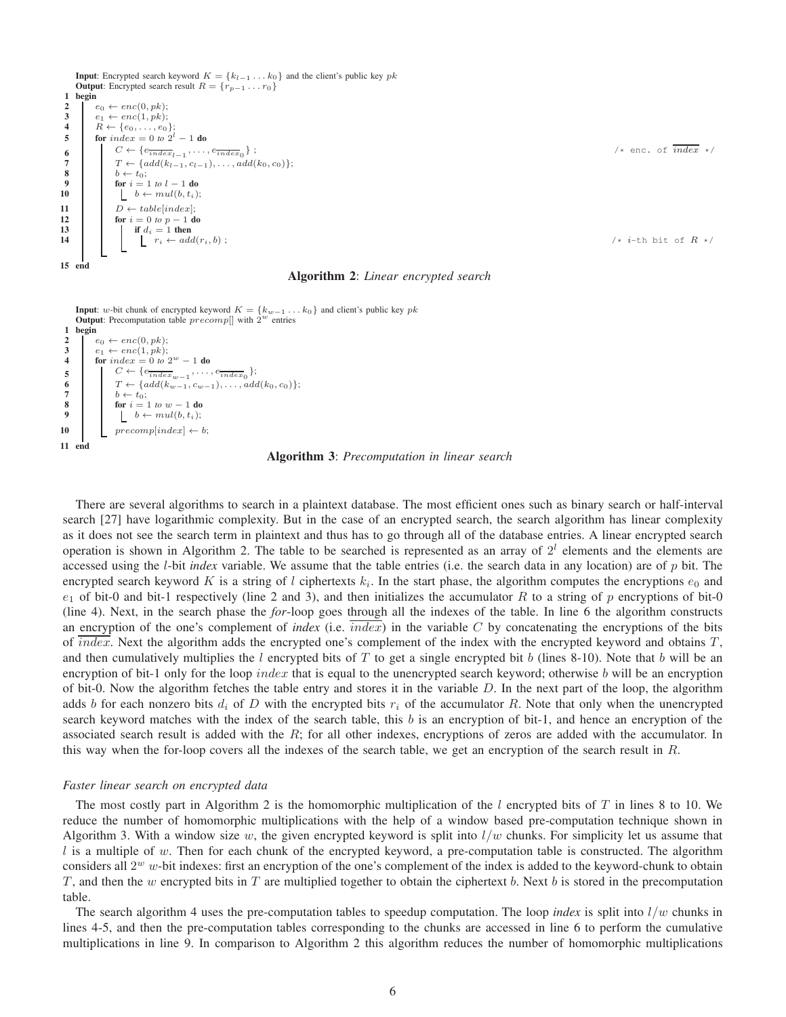**Input:** Encrypted search keyword  $K = \{k_{l-1} \ldots k_0\}$  and the client's public key pk Output: Encrypted search result  $R = \{r_{p-1} \dots r_0\}$ 1 begin 2  $e_0 \leftarrow enc(0, pk);$ <br>3  $e_1 \leftarrow enc(1, pk);$  $e_1 \leftarrow enc(1, pk);$ 4  $R \leftarrow \{e_0, \ldots, e_0\};$ 5 **for**  $index = 0$  to  $2^l - 1$  **do** 6  $\left\{C \leftarrow \{e_{index}_{l-1}, \ldots, e_{index_0}\}\; ;\right. \right.$  /\* enc. of  $index \; *$ / 6  $T \left\{\n\begin{array}{c}\nC \leftarrow \{e_{\overline{index}_{l-1}}, \ldots, e_{\overline{index}_{0}}\}\n;\n\hline\n7 \quad T \leftarrow \{add(k_{l-1}, c_{l-1}), \ldots, add(k_0, c_0)\}\n;\n\hline\n8 \quad b \leftarrow t_0\n\end{array}\n\right\}$ 8  $b \leftarrow t_0;$ <br>9  $\text{for } i = 1$ 9 for  $i = 1$  *to*  $l - 1$  do<br>10 for  $i = 1$  *to*  $l - 1$  do  $\begin{aligned} \begin{aligned} b \leftarrow \textit{mul}(b, t_i); \end{aligned} \end{aligned}$ 11  $D \leftarrow table[index];$ <br>12  $\qquad \qquad$  for  $i = 0 \text{ to } p - 1 \text{ d}$ 12 **for**  $i = 0$  *to*  $p - 1$  **do**<br>13 **if**  $d_i = 1$  **then** 13 if  $d_i = 1$  then<br>
14 if  $d_i = 1$  then<br>  $r_i \leftarrow add(r_i, b)$ ; 15 end

#### Algorithm 2: *Linear encrypted search*

**Input**: *w*-bit chunk of encrypted keyword  $K = \{k_{w-1} \dots k_0\}$  and client's public key *pk* **Output**: Precomputation table *precomp*[] with  $2^w$  entries 1 begin 2  $e_0 \leftarrow enc(0, pk);$ <br>3  $e_1 \leftarrow enc(1, pk);$ 3  $e_1 \leftarrow enc(1, pk);$ <br>4 for  $index = 0$  to 2 4 **for**  $index = 0$  to  $2^w - 1$  do 5 |  $C \leftarrow \{e_{index_{w-1}}, \ldots, e_{index_0}\};$ 6  $T \leftarrow \{add(k_{w-1}, c_{w-1}), \ldots, add(k_0, c_0)\};$ <br>7  $b \leftarrow t_0;$ 8 **for**  $i = 1$  *to*  $w - 1$  **do**<br>**9 for**  $i = 1$  *to*  $w - 1$  **do**  $\begin{aligned} \boxed{b \leftarrow \textit{mul}(b, t_i);} \end{aligned}$ 10 precomp[index]  $\leftarrow b;$ 11 end

Algorithm 3: *Precomputation in linear search*

There are several algorithms to search in a plaintext database. The most efficient ones such as binary search or half-interval search [27] have logarithmic complexity. But in the case of an encrypted search, the search algorithm has linear complexity as it does not see the search term in plaintext and thus has to go through all of the database entries. A linear encrypted search operation is shown in Algorithm 2. The table to be searched is represented as an array of  $2<sup>l</sup>$  elements and the elements are accessed using the l-bit *index* variable. We assume that the table entries (i.e. the search data in any location) are of p bit. The encrypted search keyword K is a string of l ciphertexts  $k_i$ . In the start phase, the algorithm computes the encryptions  $e_0$  and  $e_1$  of bit-0 and bit-1 respectively (line 2 and 3), and then initializes the accumulator R to a string of p encryptions of bit-0 (line 4). Next, in the search phase the *for*-loop goes through all the indexes of the table. In line 6 the algorithm constructs an encryption of the one's complement of *index* (i.e.  $index$ ) in the variable  $C$  by concatenating the encryptions of the bits of index. Next the algorithm adds the encrypted one's complement of the index with the encrypted keyword and obtains  $T$ , and then cumulatively multiplies the l encrypted bits of T to get a single encrypted bit b (lines 8-10). Note that b will be an encryption of bit-1 only for the loop *index* that is equal to the unencrypted search keyword; otherwise b will be an encryption of bit-0. Now the algorithm fetches the table entry and stores it in the variable  $D$ . In the next part of the loop, the algorithm adds b for each nonzero bits  $d_i$  of D with the encrypted bits  $r_i$  of the accumulator R. Note that only when the unencrypted search keyword matches with the index of the search table, this  $b$  is an encryption of bit-1, and hence an encryption of the associated search result is added with the  $R$ ; for all other indexes, encryptions of zeros are added with the accumulator. In this way when the for-loop covers all the indexes of the search table, we get an encryption of the search result in  $R$ .

#### *Faster linear search on encrypted data*

The most costly part in Algorithm 2 is the homomorphic multiplication of the  $l$  encrypted bits of  $T$  in lines 8 to 10. We reduce the number of homomorphic multiplications with the help of a window based pre-computation technique shown in Algorithm 3. With a window size w, the given encrypted keyword is split into  $l/w$  chunks. For simplicity let us assume that  $l$  is a multiple of w. Then for each chunk of the encrypted keyword, a pre-computation table is constructed. The algorithm considers all  $2^w$  w-bit indexes: first an encryption of the one's complement of the index is added to the keyword-chunk to obtain T, and then the w encrypted bits in T are multiplied together to obtain the ciphertext b. Next b is stored in the precomputation table.

The search algorithm 4 uses the pre-computation tables to speedup computation. The loop *index* is split into  $l/w$  chunks in lines 4-5, and then the pre-computation tables corresponding to the chunks are accessed in line 6 to perform the cumulative multiplications in line 9. In comparison to Algorithm 2 this algorithm reduces the number of homomorphic multiplications

 $1*$  i-th bit of  $R *$ /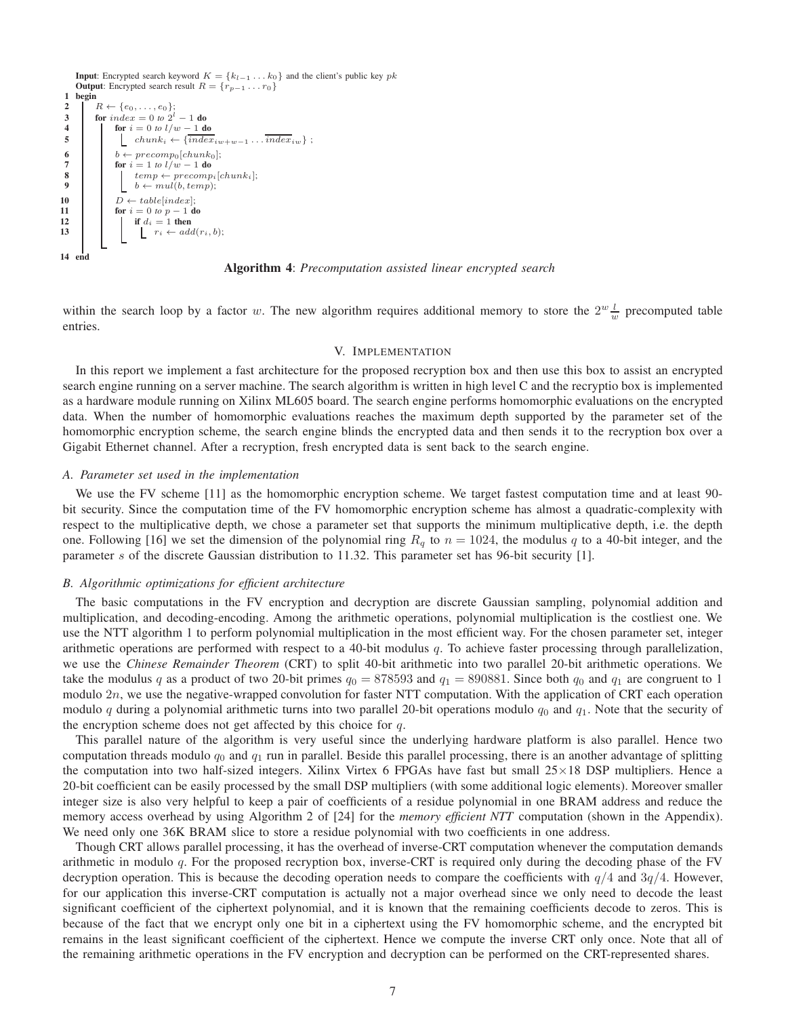

Algorithm 4: *Precomputation assisted linear encrypted search*

within the search loop by a factor w. The new algorithm requires additional memory to store the  $2^w \frac{l}{w}$  precomputed table entries.

#### V. IMPLEMENTATION

In this report we implement a fast architecture for the proposed recryption box and then use this box to assist an encrypted search engine running on a server machine. The search algorithm is written in high level C and the recryptio box is implemented as a hardware module running on Xilinx ML605 board. The search engine performs homomorphic evaluations on the encrypted data. When the number of homomorphic evaluations reaches the maximum depth supported by the parameter set of the homomorphic encryption scheme, the search engine blinds the encrypted data and then sends it to the recryption box over a Gigabit Ethernet channel. After a recryption, fresh encrypted data is sent back to the search engine.

#### *A. Parameter set used in the implementation*

We use the FV scheme [11] as the homomorphic encryption scheme. We target fastest computation time and at least 90bit security. Since the computation time of the FV homomorphic encryption scheme has almost a quadratic-complexity with respect to the multiplicative depth, we chose a parameter set that supports the minimum multiplicative depth, i.e. the depth one. Following [16] we set the dimension of the polynomial ring  $R_q$  to  $n = 1024$ , the modulus q to a 40-bit integer, and the parameter s of the discrete Gaussian distribution to 11.32. This parameter set has 96-bit security [1].

#### *B. Algorithmic optimizations for efficient architecture*

The basic computations in the FV encryption and decryption are discrete Gaussian sampling, polynomial addition and multiplication, and decoding-encoding. Among the arithmetic operations, polynomial multiplication is the costliest one. We use the NTT algorithm 1 to perform polynomial multiplication in the most efficient way. For the chosen parameter set, integer arithmetic operations are performed with respect to a 40-bit modulus  $q$ . To achieve faster processing through parallelization, we use the *Chinese Remainder Theorem* (CRT) to split 40-bit arithmetic into two parallel 20-bit arithmetic operations. We take the modulus q as a product of two 20-bit primes  $q_0 = 878593$  and  $q_1 = 890881$ . Since both  $q_0$  and  $q_1$  are congruent to 1 modulo 2n, we use the negative-wrapped convolution for faster NTT computation. With the application of CRT each operation modulo q during a polynomial arithmetic turns into two parallel 20-bit operations modulo  $q_0$  and  $q_1$ . Note that the security of the encryption scheme does not get affected by this choice for  $q$ .

This parallel nature of the algorithm is very useful since the underlying hardware platform is also parallel. Hence two computation threads modulo  $q_0$  and  $q_1$  run in parallel. Beside this parallel processing, there is an another advantage of splitting the computation into two half-sized integers. Xilinx Virtex 6 FPGAs have fast but small  $25 \times 18$  DSP multipliers. Hence a 20-bit coefficient can be easily processed by the small DSP multipliers (with some additional logic elements). Moreover smaller integer size is also very helpful to keep a pair of coefficients of a residue polynomial in one BRAM address and reduce the memory access overhead by using Algorithm 2 of [24] for the *memory efficient NTT* computation (shown in the Appendix). We need only one 36K BRAM slice to store a residue polynomial with two coefficients in one address.

Though CRT allows parallel processing, it has the overhead of inverse-CRT computation whenever the computation demands arithmetic in modulo q. For the proposed recryption box, inverse-CRT is required only during the decoding phase of the FV decryption operation. This is because the decoding operation needs to compare the coefficients with  $q/4$  and  $3q/4$ . However, for our application this inverse-CRT computation is actually not a major overhead since we only need to decode the least significant coefficient of the ciphertext polynomial, and it is known that the remaining coefficients decode to zeros. This is because of the fact that we encrypt only one bit in a ciphertext using the FV homomorphic scheme, and the encrypted bit remains in the least significant coefficient of the ciphertext. Hence we compute the inverse CRT only once. Note that all of the remaining arithmetic operations in the FV encryption and decryption can be performed on the CRT-represented shares.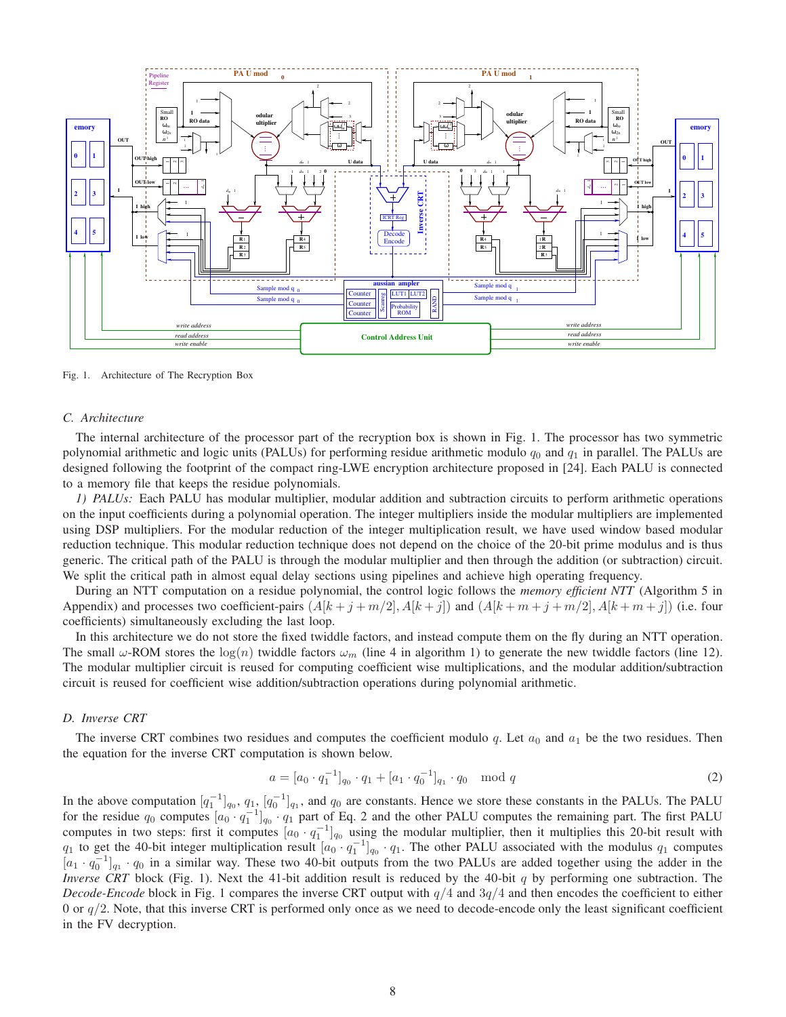

Fig. 1. Architecture of The Recryption Box

#### *C. Architecture*

The internal architecture of the processor part of the recryption box is shown in Fig. 1. The processor has two symmetric polynomial arithmetic and logic units (PALUs) for performing residue arithmetic modulo  $q_0$  and  $q_1$  in parallel. The PALUs are designed following the footprint of the compact ring-LWE encryption architecture proposed in [24]. Each PALU is connected to a memory file that keeps the residue polynomials.

*1) PALUs:* Each PALU has modular multiplier, modular addition and subtraction circuits to perform arithmetic operations on the input coefficients during a polynomial operation. The integer multipliers inside the modular multipliers are implemented using DSP multipliers. For the modular reduction of the integer multiplication result, we have used window based modular reduction technique. This modular reduction technique does not depend on the choice of the 20-bit prime modulus and is thus generic. The critical path of the PALU is through the modular multiplier and then through the addition (or subtraction) circuit. We split the critical path in almost equal delay sections using pipelines and achieve high operating frequency.

During an NTT computation on a residue polynomial, the control logic follows the *memory efficient NTT* (Algorithm 5 in Appendix) and processes two coefficient-pairs  $(A[k + j + m/2], A[k + j])$  and  $(A[k + m + j + m/2], A[k + m + j])$  (i.e. four coefficients) simultaneously excluding the last loop.

In this architecture we do not store the fixed twiddle factors, and instead compute them on the fly during an NTT operation. The small  $\omega$ -ROM stores the log(n) twiddle factors  $\omega_m$  (line 4 in algorithm 1) to generate the new twiddle factors (line 12). The modular multiplier circuit is reused for computing coefficient wise multiplications, and the modular addition/subtraction circuit is reused for coefficient wise addition/subtraction operations during polynomial arithmetic.

#### *D. Inverse CRT*

The inverse CRT combines two residues and computes the coefficient modulo q. Let  $a_0$  and  $a_1$  be the two residues. Then the equation for the inverse CRT computation is shown below.

$$
a = [a_0 \cdot q_1^{-1}]_{q_0} \cdot q_1 + [a_1 \cdot q_0^{-1}]_{q_1} \cdot q_0 \mod q \tag{2}
$$

In the above computation  $[q_1^{-1}]_{q_0}, q_1, [q_0^{-1}]_{q_1}$ , and  $q_0$  are constants. Hence we store these constants in the PALUs. The PALU for the residue  $q_0$  computes  $[a_0 \cdot q_1^{-1}]_{q_0} \cdot q_1$  part of Eq. 2 and the other PALU computes the remaining part. The first PALU computes in two steps: first it computes  $[a_0 \cdot q_1^{-1}]_{q_0}$  using the modular multiplier, then it multiplies this 20-bit result with  $q_1$  to get the 40-bit integer multiplication result  $[a_0 \cdot q_1^{-1}]_{q_0} \cdot q_1$ . The other PALU associated with the modulus  $q_1$  computes  $[a_1 \cdot q_0^{-1}]_{q_1} \cdot q_0$  in a similar way. These two 40-bit outputs from the two PALUs are added together using the adder in the *Inverse CRT* block (Fig. 1). Next the 41-bit addition result is reduced by the 40-bit q by performing one subtraction. The *Decode-Encode* block in Fig. 1 compares the inverse CRT output with  $q/4$  and  $3q/4$  and then encodes the coefficient to either 0 or  $q/2$ . Note, that this inverse CRT is performed only once as we need to decode-encode only the least significant coefficient in the FV decryption.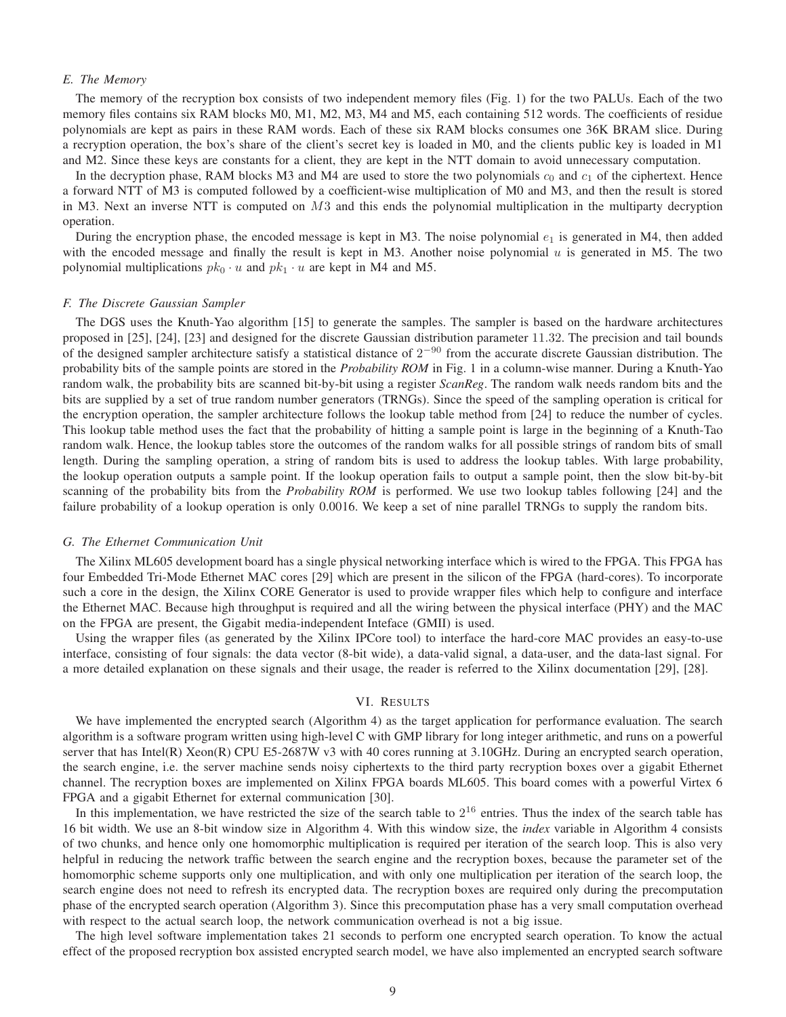#### *E. The Memory*

The memory of the recryption box consists of two independent memory files (Fig. 1) for the two PALUs. Each of the two memory files contains six RAM blocks M0, M1, M2, M3, M4 and M5, each containing 512 words. The coefficients of residue polynomials are kept as pairs in these RAM words. Each of these six RAM blocks consumes one 36K BRAM slice. During a recryption operation, the box's share of the client's secret key is loaded in M0, and the clients public key is loaded in M1 and M2. Since these keys are constants for a client, they are kept in the NTT domain to avoid unnecessary computation.

In the decryption phase, RAM blocks M3 and M4 are used to store the two polynomials  $c_0$  and  $c_1$  of the ciphertext. Hence a forward NTT of M3 is computed followed by a coefficient-wise multiplication of M0 and M3, and then the result is stored in M3. Next an inverse NTT is computed on  $M3$  and this ends the polynomial multiplication in the multiparty decryption operation.

During the encryption phase, the encoded message is kept in M3. The noise polynomial  $e_1$  is generated in M4, then added with the encoded message and finally the result is kept in M3. Another noise polynomial  $u$  is generated in M5. The two polynomial multiplications  $pk_0 \cdot u$  and  $pk_1 \cdot u$  are kept in M4 and M5.

#### *F. The Discrete Gaussian Sampler*

The DGS uses the Knuth-Yao algorithm [15] to generate the samples. The sampler is based on the hardware architectures proposed in [25], [24], [23] and designed for the discrete Gaussian distribution parameter 11.32. The precision and tail bounds of the designed sampler architecture satisfy a statistical distance of  $2^{-90}$  from the accurate discrete Gaussian distribution. The probability bits of the sample points are stored in the *Probability ROM* in Fig. 1 in a column-wise manner. During a Knuth-Yao random walk, the probability bits are scanned bit-by-bit using a register *ScanReg*. The random walk needs random bits and the bits are supplied by a set of true random number generators (TRNGs). Since the speed of the sampling operation is critical for the encryption operation, the sampler architecture follows the lookup table method from [24] to reduce the number of cycles. This lookup table method uses the fact that the probability of hitting a sample point is large in the beginning of a Knuth-Tao random walk. Hence, the lookup tables store the outcomes of the random walks for all possible strings of random bits of small length. During the sampling operation, a string of random bits is used to address the lookup tables. With large probability, the lookup operation outputs a sample point. If the lookup operation fails to output a sample point, then the slow bit-by-bit scanning of the probability bits from the *Probability ROM* is performed. We use two lookup tables following [24] and the failure probability of a lookup operation is only 0.0016. We keep a set of nine parallel TRNGs to supply the random bits.

#### *G. The Ethernet Communication Unit*

The Xilinx ML605 development board has a single physical networking interface which is wired to the FPGA. This FPGA has four Embedded Tri-Mode Ethernet MAC cores [29] which are present in the silicon of the FPGA (hard-cores). To incorporate such a core in the design, the Xilinx CORE Generator is used to provide wrapper files which help to configure and interface the Ethernet MAC. Because high throughput is required and all the wiring between the physical interface (PHY) and the MAC on the FPGA are present, the Gigabit media-independent Inteface (GMII) is used.

Using the wrapper files (as generated by the Xilinx IPCore tool) to interface the hard-core MAC provides an easy-to-use interface, consisting of four signals: the data vector (8-bit wide), a data-valid signal, a data-user, and the data-last signal. For a more detailed explanation on these signals and their usage, the reader is referred to the Xilinx documentation [29], [28].

#### VI. RESULTS

We have implemented the encrypted search (Algorithm 4) as the target application for performance evaluation. The search algorithm is a software program written using high-level C with GMP library for long integer arithmetic, and runs on a powerful server that has Intel(R) Xeon(R) CPU E5-2687W v3 with 40 cores running at 3.10GHz. During an encrypted search operation, the search engine, i.e. the server machine sends noisy ciphertexts to the third party recryption boxes over a gigabit Ethernet channel. The recryption boxes are implemented on Xilinx FPGA boards ML605. This board comes with a powerful Virtex 6 FPGA and a gigabit Ethernet for external communication [30].

In this implementation, we have restricted the size of the search table to  $2^{16}$  entries. Thus the index of the search table has 16 bit width. We use an 8-bit window size in Algorithm 4. With this window size, the *index* variable in Algorithm 4 consists of two chunks, and hence only one homomorphic multiplication is required per iteration of the search loop. This is also very helpful in reducing the network traffic between the search engine and the recryption boxes, because the parameter set of the homomorphic scheme supports only one multiplication, and with only one multiplication per iteration of the search loop, the search engine does not need to refresh its encrypted data. The recryption boxes are required only during the precomputation phase of the encrypted search operation (Algorithm 3). Since this precomputation phase has a very small computation overhead with respect to the actual search loop, the network communication overhead is not a big issue.

The high level software implementation takes 21 seconds to perform one encrypted search operation. To know the actual effect of the proposed recryption box assisted encrypted search model, we have also implemented an encrypted search software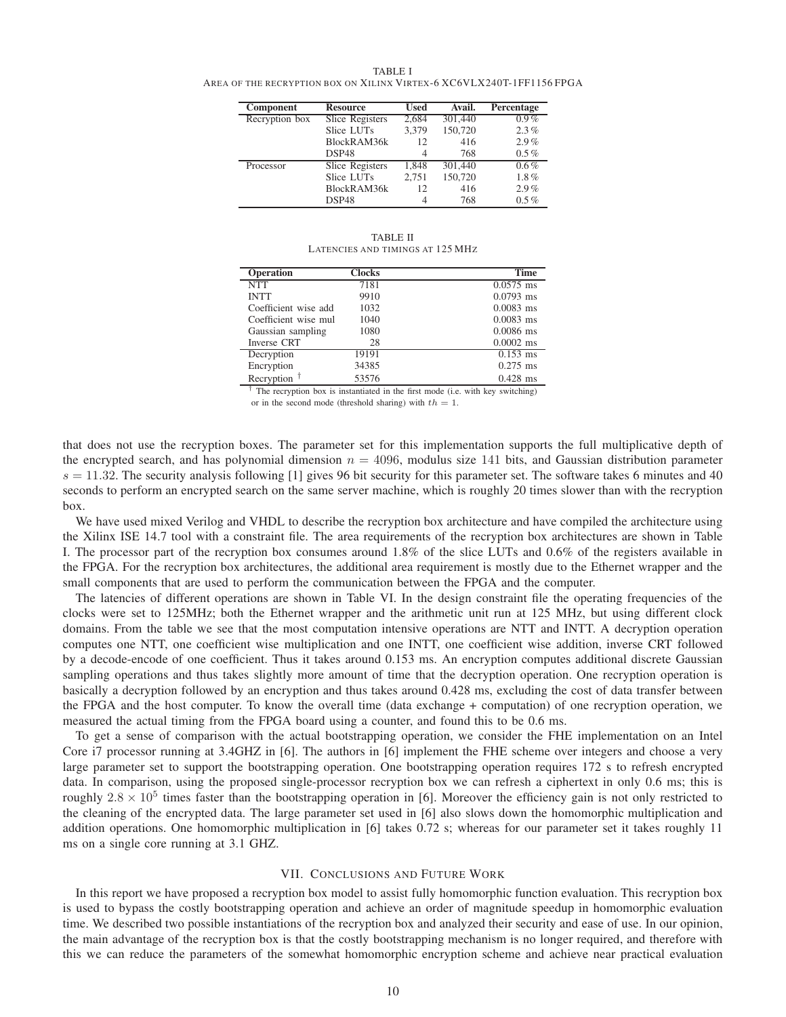TABLE I AREA OF THE RECRYPTION BOX ON XILINX VIRTEX-6 XC6VLX240T-1FF1156 FPGA

| Component      | <b>Resource</b> | Used      | Avail.  | Percentage |
|----------------|-----------------|-----------|---------|------------|
| Recryption box | Slice Registers | 2,684     | 301,440 | $0.9\%$    |
|                | Slice LUTs      | 3.379     | 150,720 | 2.3%       |
|                | BlockRAM36k     | 12        | 416     | 2.9%       |
|                | DSP48           | 4         | 768     | $0.5\%$    |
| Processor      | Slice Registers | 1.848     | 301,440 | $0.6\%$    |
|                | Slice LUTs      | 2.751     | 150,720 | $1.8\%$    |
|                | BlockRAM36k     | 416<br>12 | 2.9%    |            |
|                | DSP48           | 4         | 768     | $0.5\%$    |

TABLE II LATENCIES AND TIMINGS AT 125 MHZ

| <b>Operation</b>     | <b>Clocks</b> | <b>Time</b> |
|----------------------|---------------|-------------|
| <b>NTT</b>           | 7181          | $0.0575$ ms |
| <b>INTT</b>          | 9910          | $0.0793$ ms |
| Coefficient wise add | 1032          | $0.0083$ ms |
| Coefficient wise mul | 1040          | $0.0083$ ms |
| Gaussian sampling    | 1080          | $0.0086$ ms |
| Inverse CRT          | 28            | $0.0002$ ms |
| Decryption           | 19191         | $0.153$ ms  |
| Encryption           | 34385         | $0.275$ ms  |
| Recryption $†$       | 53576         | $0.428$ ms  |

 $\bar{f}$  The recryption box is instantiated in the first mode (i.e. with key switching) or in the second mode (threshold sharing) with  $th = 1$ .

that does not use the recryption boxes. The parameter set for this implementation supports the full multiplicative depth of the encrypted search, and has polynomial dimension  $n = 4096$ , modulus size 141 bits, and Gaussian distribution parameter  $s = 11.32$ . The security analysis following [1] gives 96 bit security for this parameter set. The software takes 6 minutes and 40 seconds to perform an encrypted search on the same server machine, which is roughly 20 times slower than with the recryption box.

We have used mixed Verilog and VHDL to describe the recryption box architecture and have compiled the architecture using the Xilinx ISE 14.7 tool with a constraint file. The area requirements of the recryption box architectures are shown in Table I. The processor part of the recryption box consumes around 1.8% of the slice LUTs and 0.6% of the registers available in the FPGA. For the recryption box architectures, the additional area requirement is mostly due to the Ethernet wrapper and the small components that are used to perform the communication between the FPGA and the computer.

The latencies of different operations are shown in Table VI. In the design constraint file the operating frequencies of the clocks were set to 125MHz; both the Ethernet wrapper and the arithmetic unit run at 125 MHz, but using different clock domains. From the table we see that the most computation intensive operations are NTT and INTT. A decryption operation computes one NTT, one coefficient wise multiplication and one INTT, one coefficient wise addition, inverse CRT followed by a decode-encode of one coefficient. Thus it takes around 0.153 ms. An encryption computes additional discrete Gaussian sampling operations and thus takes slightly more amount of time that the decryption operation. One recryption operation is basically a decryption followed by an encryption and thus takes around 0.428 ms, excluding the cost of data transfer between the FPGA and the host computer. To know the overall time (data exchange + computation) of one recryption operation, we measured the actual timing from the FPGA board using a counter, and found this to be 0.6 ms.

To get a sense of comparison with the actual bootstrapping operation, we consider the FHE implementation on an Intel Core i7 processor running at 3.4GHZ in [6]. The authors in [6] implement the FHE scheme over integers and choose a very large parameter set to support the bootstrapping operation. One bootstrapping operation requires 172 s to refresh encrypted data. In comparison, using the proposed single-processor recryption box we can refresh a ciphertext in only 0.6 ms; this is roughly  $2.8 \times 10^5$  times faster than the bootstrapping operation in [6]. Moreover the efficiency gain is not only restricted to the cleaning of the encrypted data. The large parameter set used in [6] also slows down the homomorphic multiplication and addition operations. One homomorphic multiplication in [6] takes 0.72 s; whereas for our parameter set it takes roughly 11 ms on a single core running at 3.1 GHZ.

#### VII. CONCLUSIONS AND FUTURE WORK

In this report we have proposed a recryption box model to assist fully homomorphic function evaluation. This recryption box is used to bypass the costly bootstrapping operation and achieve an order of magnitude speedup in homomorphic evaluation time. We described two possible instantiations of the recryption box and analyzed their security and ease of use. In our opinion, the main advantage of the recryption box is that the costly bootstrapping mechanism is no longer required, and therefore with this we can reduce the parameters of the somewhat homomorphic encryption scheme and achieve near practical evaluation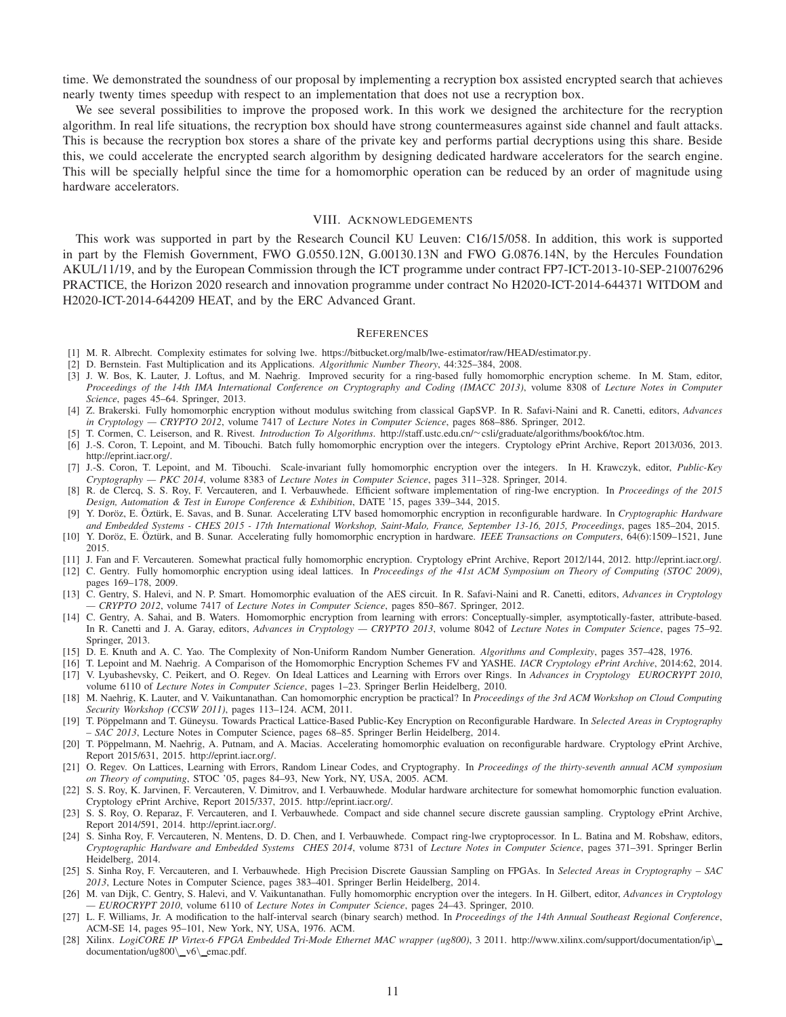time. We demonstrated the soundness of our proposal by implementing a recryption box assisted encrypted search that achieves nearly twenty times speedup with respect to an implementation that does not use a recryption box.

We see several possibilities to improve the proposed work. In this work we designed the architecture for the recryption algorithm. In real life situations, the recryption box should have strong countermeasures against side channel and fault attacks. This is because the recryption box stores a share of the private key and performs partial decryptions using this share. Beside this, we could accelerate the encrypted search algorithm by designing dedicated hardware accelerators for the search engine. This will be specially helpful since the time for a homomorphic operation can be reduced by an order of magnitude using hardware accelerators.

#### VIII. ACKNOWLEDGEMENTS

This work was supported in part by the Research Council KU Leuven: C16/15/058. In addition, this work is supported in part by the Flemish Government, FWO G.0550.12N, G.00130.13N and FWO G.0876.14N, by the Hercules Foundation AKUL/11/19, and by the European Commission through the ICT programme under contract FP7-ICT-2013-10-SEP-210076296 PRACTICE, the Horizon 2020 research and innovation programme under contract No H2020-ICT-2014-644371 WITDOM and H2020-ICT-2014-644209 HEAT, and by the ERC Advanced Grant.

#### **REFERENCES**

- [1] M. R. Albrecht. Complexity estimates for solving lwe. https://bitbucket.org/malb/lwe-estimator/raw/HEAD/estimator.py.
- [2] D. Bernstein. Fast Multiplication and its Applications. *Algorithmic Number Theory*, 44:325–384, 2008.
- [3] J. W. Bos, K. Lauter, J. Loftus, and M. Naehrig. Improved security for a ring-based fully homomorphic encryption scheme. In M. Stam, editor, *Proceedings of the 14th IMA International Conference on Cryptography and Coding (IMACC 2013)*, volume 8308 of *Lecture Notes in Computer Science*, pages 45–64. Springer, 2013.
- [4] Z. Brakerski. Fully homomorphic encryption without modulus switching from classical GapSVP. In R. Safavi-Naini and R. Canetti, editors, *Advances in Cryptology — CRYPTO 2012*, volume 7417 of *Lecture Notes in Computer Science*, pages 868–886. Springer, 2012.
- [5] T. Cormen, C. Leiserson, and R. Rivest. *Introduction To Algorithms*. http://staff.ustc.edu.cn/∼csli/graduate/algorithms/book6/toc.htm.
- [6] J.-S. Coron, T. Lepoint, and M. Tibouchi. Batch fully homomorphic encryption over the integers. Cryptology ePrint Archive, Report 2013/036, 2013. http://eprint.iacr.org/.
- [7] J.-S. Coron, T. Lepoint, and M. Tibouchi. Scale-invariant fully homomorphic encryption over the integers. In H. Krawczyk, editor, *Public-Key Cryptography — PKC 2014*, volume 8383 of *Lecture Notes in Computer Science*, pages 311–328. Springer, 2014.
- [8] R. de Clercq, S. S. Roy, F. Vercauteren, and I. Verbauwhede. Efficient software implementation of ring-lwe encryption. In *Proceedings of the 2015 Design, Automation & Test in Europe Conference & Exhibition*, DATE '15, pages 339–344, 2015.
- [9] Y. Doröz, E. Öztürk, E. Savas, and B. Sunar. Accelerating LTV based homomorphic encryption in reconfigurable hardware. In *Cryptographic Hardware and Embedded Systems - CHES 2015 - 17th International Workshop, Saint-Malo, France, September 13-16, 2015, Proceedings*, pages 185–204, 2015.
- [10] Y. Doröz, E. Oztürk, and B. Sunar. Accelerating fully homomorphic encryption in hardware. *IEEE Transactions on Computers*, 64(6):1509-1521, June 2015.
- [11] J. Fan and F. Vercauteren. Somewhat practical fully homomorphic encryption. Cryptology ePrint Archive, Report 2012/144, 2012. http://eprint.iacr.org/.
- [12] C. Gentry. Fully homomorphic encryption using ideal lattices. In *Proceedings of the 41st ACM Symposium on Theory of Computing (STOC 2009)*, pages 169–178, 2009.
- [13] C. Gentry, S. Halevi, and N. P. Smart. Homomorphic evaluation of the AES circuit. In R. Safavi-Naini and R. Canetti, editors, *Advances in Cryptology — CRYPTO 2012*, volume 7417 of *Lecture Notes in Computer Science*, pages 850–867. Springer, 2012.
- [14] C. Gentry, A. Sahai, and B. Waters. Homomorphic encryption from learning with errors: Conceptually-simpler, asymptotically-faster, attribute-based. In R. Canetti and J. A. Garay, editors, *Advances in Cryptology — CRYPTO 2013*, volume 8042 of *Lecture Notes in Computer Science*, pages 75–92. Springer, 2013.
- [15] D. E. Knuth and A. C. Yao. The Complexity of Non-Uniform Random Number Generation. *Algorithms and Complexity*, pages 357–428, 1976.
- [16] T. Lepoint and M. Naehrig. A Comparison of the Homomorphic Encryption Schemes FV and YASHE. *IACR Cryptology ePrint Archive*, 2014:62, 2014. [17] V. Lyubashevsky, C. Peikert, and O. Regev. On Ideal Lattices and Learning with Errors over Rings. In *Advances in Cryptology EUROCRYPT 2010*, volume 6110 of *Lecture Notes in Computer Science*, pages 1–23. Springer Berlin Heidelberg, 2010.
- [18] M. Naehrig, K. Lauter, and V. Vaikuntanathan. Can homomorphic encryption be practical? In *Proceedings of the 3rd ACM Workshop on Cloud Computing Security Workshop (CCSW 2011)*, pages 113–124. ACM, 2011.
- [19] T. Pöppelmann and T. Güneysu. Towards Practical Lattice-Based Public-Key Encryption on Reconfigurable Hardware. In *Selected Areas in Cryptography – SAC 2013*, Lecture Notes in Computer Science, pages 68–85. Springer Berlin Heidelberg, 2014.
- [20] T. Pöppelmann, M. Naehrig, A. Putnam, and A. Macias. Accelerating homomorphic evaluation on reconfigurable hardware. Cryptology ePrint Archive, Report 2015/631, 2015. http://eprint.iacr.org/.
- [21] O. Regev. On Lattices, Learning with Errors, Random Linear Codes, and Cryptography. In *Proceedings of the thirty-seventh annual ACM symposium on Theory of computing*, STOC '05, pages 84–93, New York, NY, USA, 2005. ACM.
- [22] S. S. Roy, K. Jarvinen, F. Vercauteren, V. Dimitrov, and I. Verbauwhede. Modular hardware architecture for somewhat homomorphic function evaluation. Cryptology ePrint Archive, Report 2015/337, 2015. http://eprint.iacr.org/.
- [23] S. S. Roy, O. Reparaz, F. Vercauteren, and I. Verbauwhede. Compact and side channel secure discrete gaussian sampling. Cryptology ePrint Archive, Report 2014/591, 2014. http://eprint.iacr.org/.
- [24] S. Sinha Roy, F. Vercauteren, N. Mentens, D. D. Chen, and I. Verbauwhede. Compact ring-lwe cryptoprocessor. In L. Batina and M. Robshaw, editors, *Cryptographic Hardware and Embedded Systems CHES 2014*, volume 8731 of *Lecture Notes in Computer Science*, pages 371–391. Springer Berlin Heidelberg, 2014.
- [25] S. Sinha Roy, F. Vercauteren, and I. Verbauwhede. High Precision Discrete Gaussian Sampling on FPGAs. In *Selected Areas in Cryptography SAC 2013*, Lecture Notes in Computer Science, pages 383–401. Springer Berlin Heidelberg, 2014.
- [26] M. van Dijk, C. Gentry, S. Halevi, and V. Vaikuntanathan. Fully homomorphic encryption over the integers. In H. Gilbert, editor, *Advances in Cryptology — EUROCRYPT 2010*, volume 6110 of *Lecture Notes in Computer Science*, pages 24–43. Springer, 2010.
- [27] L. F. Williams, Jr. A modification to the half-interval search (binary search) method. In *Proceedings of the 14th Annual Southeast Regional Conference*, ACM-SE 14, pages 95–101, New York, NY, USA, 1976. ACM.
- [28] Xilinx. *LogiCORE IP Virtex-6 FPGA Embedded Tri-Mode Ethernet MAC wrapper (ug800)*, 3 2011. http://www.xilinx.com/support/documentation/ip\ documentation/ug800\\_v6\\_emac.pdf.